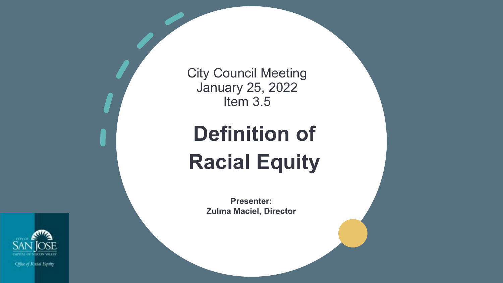

City Council Meeting January 25, 2022 Item 3.5

# **Definition of Racial Equity**

**Presenter: Zulma Maciel, Director**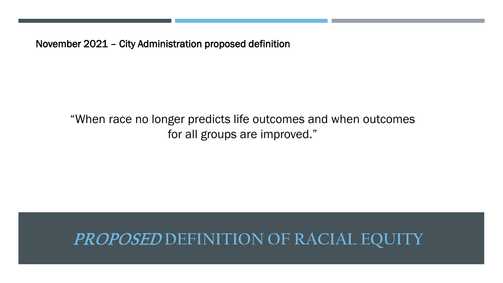November 2021 – City Administration proposed definition

"When race no longer predicts life outcomes and when outcomes for all groups are improved."

### PROPOSED **DEFINITION OF RACIAL EQUITY**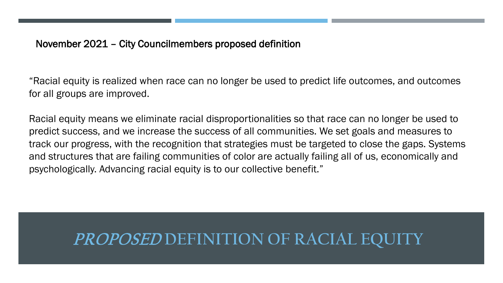#### November 2021 – City Councilmembers proposed definition

"Racial equity is realized when race can no longer be used to predict life outcomes, and outcomes for all groups are improved.

Racial equity means we eliminate racial disproportionalities so that race can no longer be used to predict success, and we increase the success of all communities. We set goals and measures to track our progress, with the recognition that strategies must be targeted to close the gaps. Systems and structures that are failing communities of color are actually failing all of us, economically and psychologically. Advancing racial equity is to our collective benefit."

### **PROPOSED DEFINITION OF RACIAL EQU**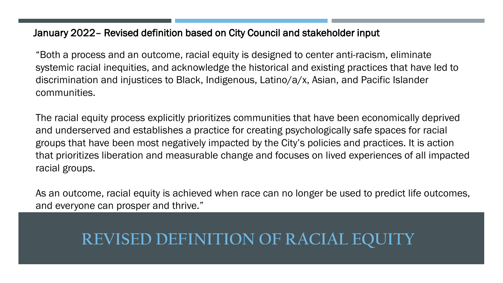#### January 2022– Revised definition based on City Council and stakeholder input

"Both a process and an outcome, racial equity is designed to center anti-racism, eliminate systemic racial inequities, and acknowledge the historical and existing practices that have led to discrimination and injustices to Black, Indigenous, Latino/a/x, Asian, and Pacific Islander communities.

The racial equity process explicitly prioritizes communities that have been economically deprived and underserved and establishes a practice for creating psychologically safe spaces for racial groups that have been most negatively impacted by the City's policies and practices. It is action that prioritizes liberation and measurable change and focuses on lived experiences of all impacted racial groups.

As an outcome, racial equity is achieved when race can no longer be used to predict life outcomes, and everyone can prosper and thrive."

### **REVISED DEFINITION OF RACIAL EQU**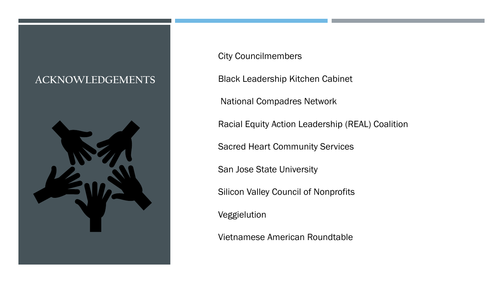#### **ACKNOWLEDGEMENTS**



City Councilmembers

Black Leadership Kitchen Cabinet

National Compadres Network

Racial Equity Action Leadership (REAL) Coalition

Sacred Heart Community Services

San Jose State University

Silicon Valley Council of Nonprofits

Veggielution

Vietnamese American Roundtable